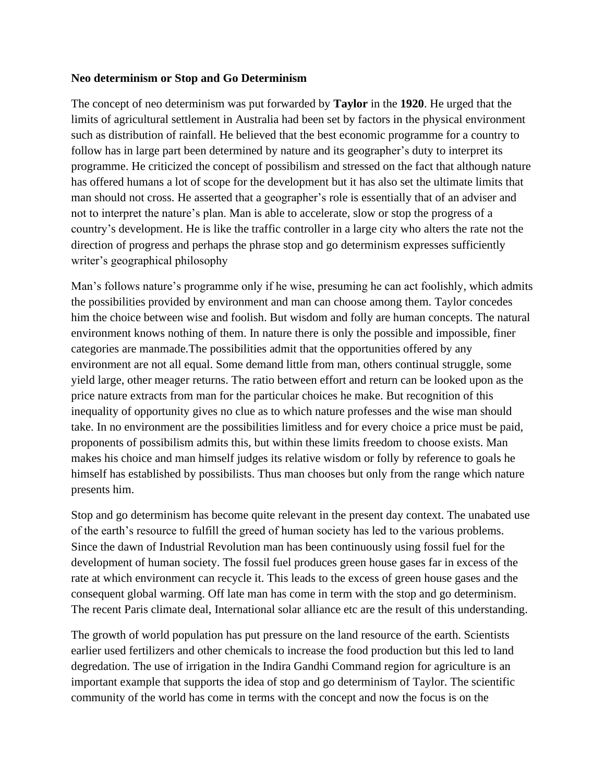## **Neo determinism or Stop and Go Determinism**

The concept of neo determinism was put forwarded by **Taylor** in the **1920**. He urged that the limits of agricultural settlement in Australia had been set by factors in the physical environment such as distribution of rainfall. He believed that the best economic programme for a country to follow has in large part been determined by nature and its geographer's duty to interpret its programme. He criticized the concept of possibilism and stressed on the fact that although nature has offered humans a lot of scope for the development but it has also set the ultimate limits that man should not cross. He asserted that a geographer's role is essentially that of an adviser and not to interpret the nature's plan. Man is able to accelerate, slow or stop the progress of a country's development. He is like the traffic controller in a large city who alters the rate not the direction of progress and perhaps the phrase stop and go determinism expresses sufficiently writer's geographical philosophy

Man's follows nature's programme only if he wise, presuming he can act foolishly, which admits the possibilities provided by environment and man can choose among them. Taylor concedes him the choice between wise and foolish. But wisdom and folly are human concepts. The natural environment knows nothing of them. In nature there is only the possible and impossible, finer categories are manmade.The possibilities admit that the opportunities offered by any environment are not all equal. Some demand little from man, others continual struggle, some yield large, other meager returns. The ratio between effort and return can be looked upon as the price nature extracts from man for the particular choices he make. But recognition of this inequality of opportunity gives no clue as to which nature professes and the wise man should take. In no environment are the possibilities limitless and for every choice a price must be paid, proponents of possibilism admits this, but within these limits freedom to choose exists. Man makes his choice and man himself judges its relative wisdom or folly by reference to goals he himself has established by possibilists. Thus man chooses but only from the range which nature presents him.

Stop and go determinism has become quite relevant in the present day context. The unabated use of the earth's resource to fulfill the greed of human society has led to the various problems. Since the dawn of Industrial Revolution man has been continuously using fossil fuel for the development of human society. The fossil fuel produces green house gases far in excess of the rate at which environment can recycle it. This leads to the excess of green house gases and the consequent global warming. Off late man has come in term with the stop and go determinism. The recent Paris climate deal, International solar alliance etc are the result of this understanding.

The growth of world population has put pressure on the land resource of the earth. Scientists earlier used fertilizers and other chemicals to increase the food production but this led to land degredation. The use of irrigation in the Indira Gandhi Command region for agriculture is an important example that supports the idea of stop and go determinism of Taylor. The scientific community of the world has come in terms with the concept and now the focus is on the